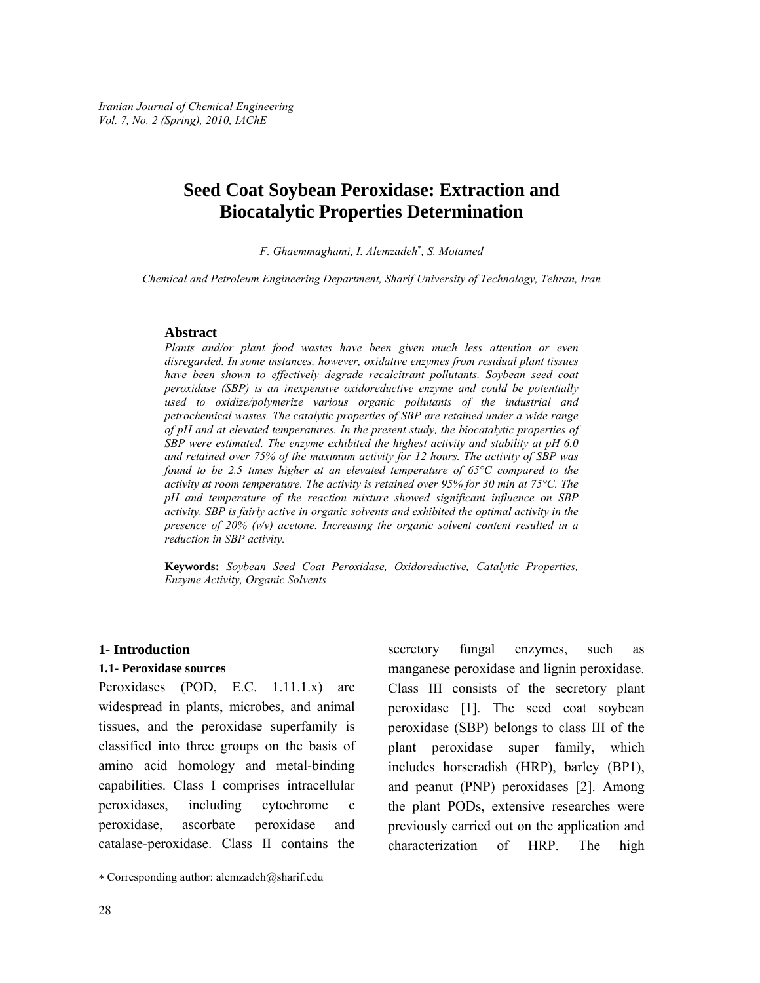# **Seed Coat Soybean Peroxidase: Extraction and Biocatalytic Properties Determination**

*F. Ghaemmaghami, I. Alemzadeh*<sup>∗</sup> *, S. Motamed* 

*Chemical and Petroleum Engineering Department, Sharif University of Technology, Tehran, Iran* 

#### **Abstract**

*Plants and/or plant food wastes have been given much less attention or even disregarded. In some instances, however, oxidative enzymes from residual plant tissues have been shown to effectively degrade recalcitrant pollutants. Soybean seed coat peroxidase (SBP) is an inexpensive oxidoreductive enzyme and could be potentially used to oxidize/polymerize various organic pollutants of the industrial and petrochemical wastes. The catalytic properties of SBP are retained under a wide range of pH and at elevated temperatures. In the present study, the biocatalytic properties of SBP were estimated. The enzyme exhibited the highest activity and stability at pH 6.0 and retained over 75% of the maximum activity for 12 hours. The activity of SBP was found to be 2.5 times higher at an elevated temperature of 65°C compared to the activity at room temperature. The activity is retained over 95% for 30 min at 75°C. The pH and temperature of the reaction mixture showed significant influence on SBP activity. SBP is fairly active in organic solvents and exhibited the optimal activity in the presence of 20% (v/v) acetone. Increasing the organic solvent content resulted in a reduction in SBP activity.* 

**Keywords:** *Soybean Seed Coat Peroxidase, Oxidoreductive, Catalytic Properties, Enzyme Activity, Organic Solvents* 

#### **1- Introduction**

#### **1.1- Peroxidase sources**

Peroxidases (POD, E.C. 1.11.1.x) are widespread in plants, microbes, and animal tissues, and the peroxidase superfamily is classified into three groups on the basis of amino acid homology and metal-binding capabilities. Class I comprises intracellular peroxidases, including cytochrome c peroxidase, ascorbate peroxidase and catalase-peroxidase. Class II contains the secretory fungal enzymes, such as manganese peroxidase and lignin peroxidase. Class III consists of the secretory plant peroxidase [1]. The seed coat soybean peroxidase (SBP) belongs to class III of the plant peroxidase super family, which includes horseradish (HRP), barley (BP1), and peanut (PNP) peroxidases [2]. Among the plant PODs, extensive researches were previously carried out on the application and characterization of HRP. The high

l

<sup>∗</sup> Corresponding author: alemzadeh@sharif.edu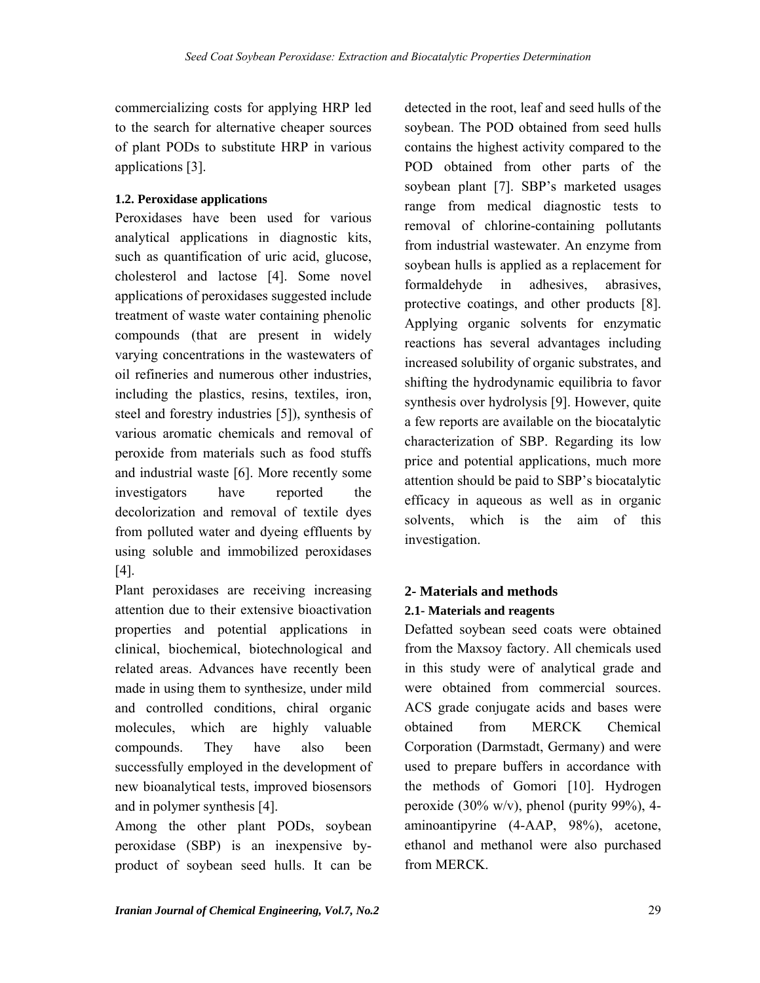commercializing costs for applying HRP led to the search for alternative cheaper sources of plant PODs to substitute HRP in various applications [3].

### **1.2. Peroxidase applications**

Peroxidases have been used for various analytical applications in diagnostic kits, such as quantification of uric acid, glucose, cholesterol and lactose [4]. Some novel applications of peroxidases suggested include treatment of waste water containing phenolic compounds (that are present in widely varying concentrations in the wastewaters of oil refineries and numerous other industries, including the plastics, resins, textiles, iron, steel and forestry industries [5]), synthesis of various aromatic chemicals and removal of peroxide from materials such as food stuffs and industrial waste [6]. More recently some investigators have reported the decolorization and removal of textile dyes from polluted water and dyeing effluents by using soluble and immobilized peroxidases [4].

Plant peroxidases are receiving increasing attention due to their extensive bioactivation properties and potential applications in clinical, biochemical, biotechnological and related areas. Advances have recently been made in using them to synthesize, under mild and controlled conditions, chiral organic molecules, which are highly valuable compounds. They have also been successfully employed in the development of new bioanalytical tests, improved biosensors and in polymer synthesis [4].

Among the other plant PODs, soybean peroxidase (SBP) is an inexpensive byproduct of soybean seed hulls. It can be detected in the root, leaf and seed hulls of the soybean. The POD obtained from seed hulls contains the highest activity compared to the POD obtained from other parts of the soybean plant [7]. SBP's marketed usages range from medical diagnostic tests to removal of chlorine-containing pollutants from industrial wastewater. An enzyme from soybean hulls is applied as a replacement for formaldehyde in adhesives, abrasives, protective coatings, and other products [8]. Applying organic solvents for enzymatic reactions has several advantages including increased solubility of organic substrates, and shifting the hydrodynamic equilibria to favor synthesis over hydrolysis [9]. However, quite a few reports are available on the biocatalytic characterization of SBP. Regarding its low price and potential applications, much more attention should be paid to SBP's biocatalytic efficacy in aqueous as well as in organic solvents, which is the aim of this investigation.

# **2- Materials and methods 2.1- Materials and reagents**

Defatted soybean seed coats were obtained from the Maxsoy factory. All chemicals used in this study were of analytical grade and were obtained from commercial sources. ACS grade conjugate acids and bases were obtained from MERCK Chemical Corporation (Darmstadt, Germany) and were used to prepare buffers in accordance with the methods of Gomori [10]. Hydrogen peroxide (30% w/v), phenol (purity 99%), 4aminoantipyrine (4-AAP, 98%), acetone, ethanol and methanol were also purchased from MERCK.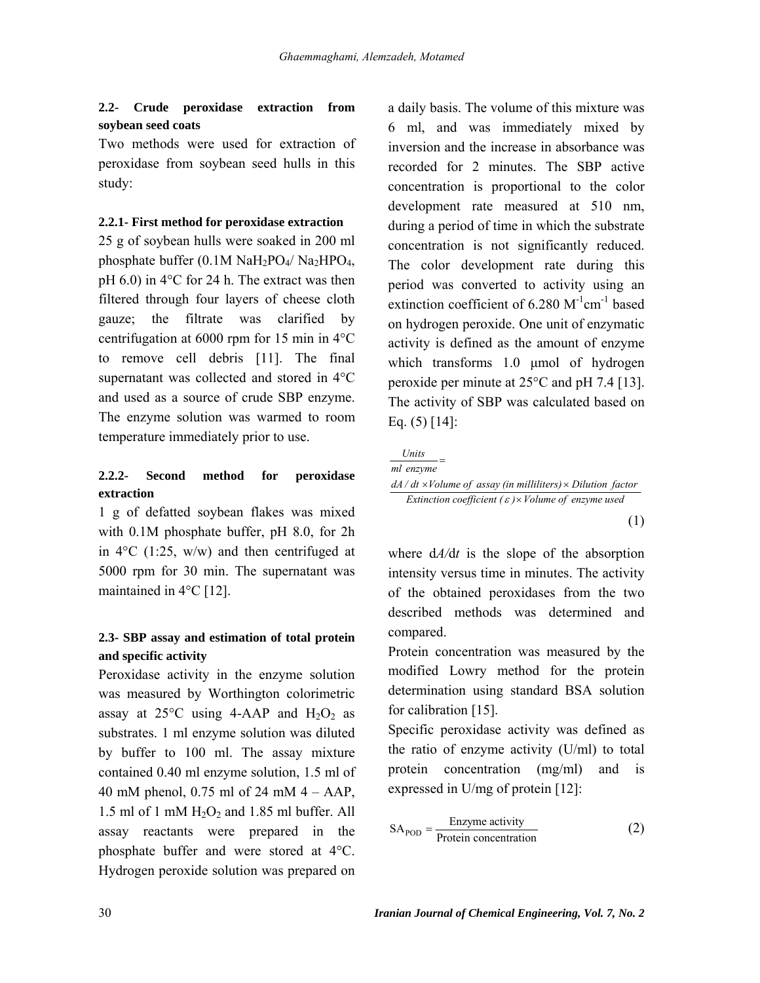### **2.2- Crude peroxidase extraction from soybean seed coats**

Two methods were used for extraction of peroxidase from soybean seed hulls in this study:

#### **2.2.1- First method for peroxidase extraction**

25 g of soybean hulls were soaked in 200 ml phosphate buffer  $(0.1M \text{ Na}H_2PO_4/\text{Na}_2HPO_4$ , pH 6.0) in 4°C for 24 h. The extract was then filtered through four layers of cheese cloth gauze; the filtrate was clarified by centrifugation at 6000 rpm for 15 min in 4°C to remove cell debris [11]. The final supernatant was collected and stored in 4°C and used as a source of crude SBP enzyme. The enzyme solution was warmed to room temperature immediately prior to use.

# **2.2.2- Second method for peroxidase extraction**

1 g of defatted soybean flakes was mixed with 0.1M phosphate buffer, pH 8.0, for 2h in  $4^{\circ}$ C (1:25, w/w) and then centrifuged at 5000 rpm for 30 min. The supernatant was maintained in 4°C [12].

## **2.3- SBP assay and estimation of total protein and specific activity**

Peroxidase activity in the enzyme solution was measured by Worthington colorimetric assay at  $25^{\circ}$ C using 4-AAP and  $H_2O_2$  as substrates. 1 ml enzyme solution was diluted by buffer to 100 ml. The assay mixture contained 0.40 ml enzyme solution, 1.5 ml of 40 mM phenol, 0.75 ml of 24 mM 4 – AAP, 1.5 ml of 1 mM  $H<sub>2</sub>O<sub>2</sub>$  and 1.85 ml buffer. All assay reactants were prepared in the phosphate buffer and were stored at 4°C. Hydrogen peroxide solution was prepared on a daily basis. The volume of this mixture was 6 ml, and was immediately mixed by inversion and the increase in absorbance was recorded for 2 minutes. The SBP active concentration is proportional to the color development rate measured at 510 nm, during a period of time in which the substrate concentration is not significantly reduced. The color development rate during this period was converted to activity using an extinction coefficient of  $6.280 \text{ M}^{-1} \text{cm}^{-1}$  based on hydrogen peroxide. One unit of enzymatic activity is defined as the amount of enzyme which transforms 1.0 μmol of hydrogen peroxide per minute at 25°C and pH 7.4 [13]. The activity of SBP was calculated based on Eq.  $(5)$  [14]:

*Units*

*ml enzyme*

=

dA / dt ×Volume of assay (in milliliters) × Dilution factor *Extinction coefficient (ε)* × *Volume of enzyme used* 

(1)

where d*A/*d*t* is the slope of the absorption intensity versus time in minutes. The activity of the obtained peroxidases from the two described methods was determined and compared.

Protein concentration was measured by the modified Lowry method for the protein determination using standard BSA solution for calibration [15].

Specific peroxidase activity was defined as the ratio of enzyme activity (U/ml) to total protein concentration (mg/ml) and is expressed in U/mg of protein [12]:

$$
SAPOD = \frac{Enzyme activity}{Protein concentration}
$$
 (2)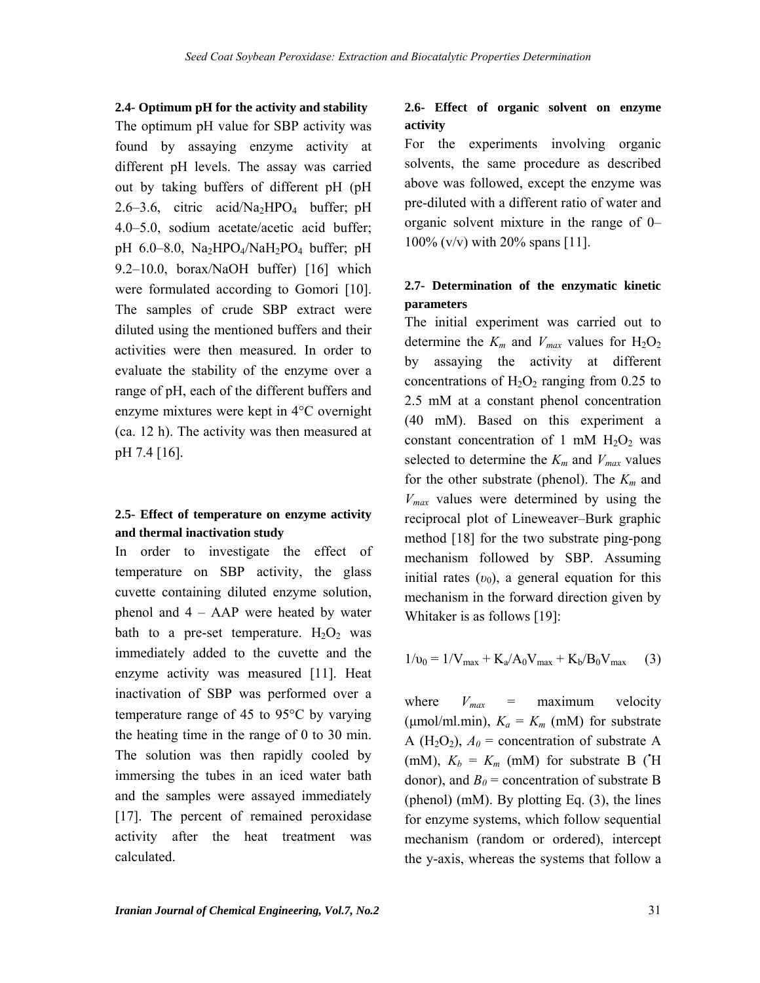**2.4- Optimum pH for the activity and stability**  The optimum pH value for SBP activity was found by assaying enzyme activity at different pH levels. The assay was carried out by taking buffers of different pH (pH 2.6–3.6, citric acid/Na<sub>2</sub>HPO<sub>4</sub> buffer; pH 4.0–5.0, sodium acetate/acetic acid buffer; pH 6.0–8.0,  $Na<sub>2</sub>HPO<sub>4</sub>/NaH<sub>2</sub>PO<sub>4</sub> buffer$ ; pH 9.2–10.0, borax/NaOH buffer) [16] which were formulated according to Gomori [10]. The samples of crude SBP extract were diluted using the mentioned buffers and their activities were then measured. In order to evaluate the stability of the enzyme over a range of pH, each of the different buffers and enzyme mixtures were kept in 4°C overnight (ca. 12 h). The activity was then measured at pH 7.4 [16].

### **2.5- Effect of temperature on enzyme activity and thermal inactivation study**

In order to investigate the effect of temperature on SBP activity, the glass cuvette containing diluted enzyme solution, phenol and 4 – AAP were heated by water bath to a pre-set temperature.  $H_2O_2$  was immediately added to the cuvette and the enzyme activity was measured [11]. Heat inactivation of SBP was performed over a temperature range of 45 to 95°C by varying the heating time in the range of 0 to 30 min. The solution was then rapidly cooled by immersing the tubes in an iced water bath and the samples were assayed immediately [17]. The percent of remained peroxidase activity after the heat treatment was calculated.

### **2.6- Effect of organic solvent on enzyme activity**

For the experiments involving organic solvents, the same procedure as described above was followed, except the enzyme was pre-diluted with a different ratio of water and organic solvent mixture in the range of 0– 100% (v/v) with 20% spans [11].

## **2.7- Determination of the enzymatic kinetic parameters**

The initial experiment was carried out to determine the  $K_m$  and  $V_{max}$  values for  $H_2O_2$ by assaying the activity at different concentrations of  $H_2O_2$  ranging from 0.25 to 2.5 mM at a constant phenol concentration (40 mM). Based on this experiment a constant concentration of 1 mM  $H_2O_2$  was selected to determine the  $K_m$  and  $V_{max}$  values for the other substrate (phenol). The  $K_m$  and *Vmax* values were determined by using the reciprocal plot of Lineweaver–Burk graphic method [18] for the two substrate ping-pong mechanism followed by SBP. Assuming initial rates  $(v_0)$ , a general equation for this mechanism in the forward direction given by Whitaker is as follows [19]:

$$
1/v_0 = 1/V_{\text{max}} + K_a/A_0V_{\text{max}} + K_b/B_0V_{\text{max}} \quad (3)
$$

where  $V_{max}$  = maximum velocity ( $\mu$ mol/ml.min),  $K_a = K_m$  (mM) for substrate A (H<sub>2</sub>O<sub>2</sub>),  $A_0$  = concentration of substrate A (mM),  $K_b = K_m$  (mM) for substrate B ( $H$ ) donor), and  $B_0$  = concentration of substrate B (phenol) (mM). By plotting Eq. (3), the lines for enzyme systems, which follow sequential mechanism (random or ordered), intercept the y-axis, whereas the systems that follow a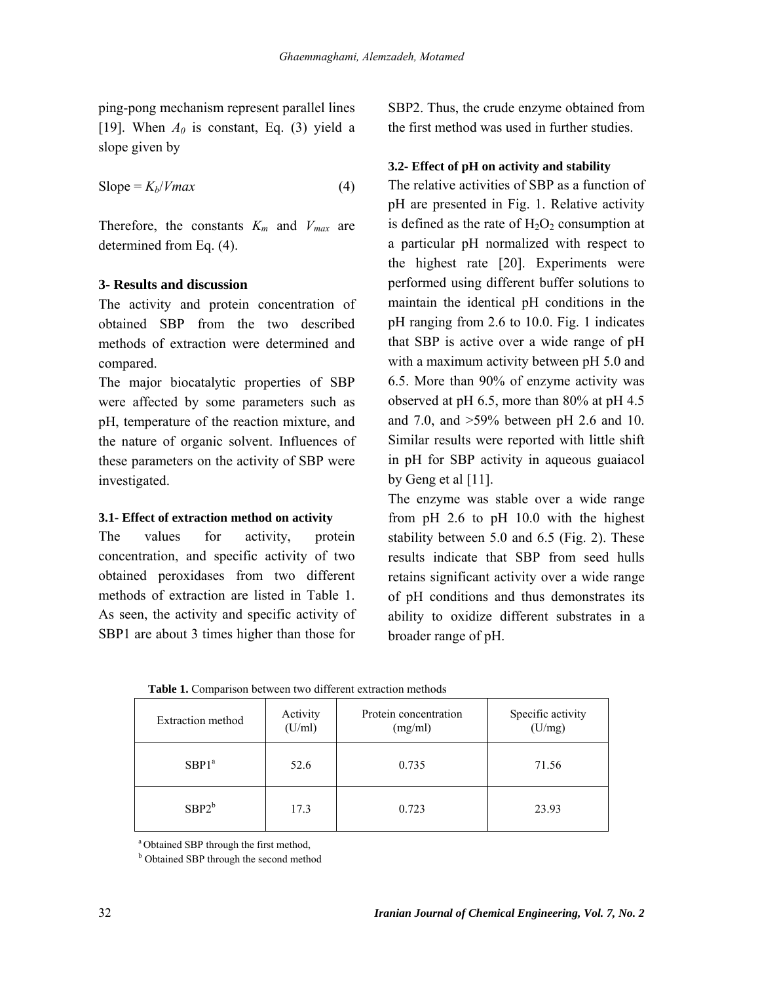ping-pong mechanism represent parallel lines [19]. When  $A_0$  is constant, Eq. (3) yield a slope given by

$$
Slope = K_b/Vmax
$$
 (4)

Therefore, the constants *Km* and *Vmax* are determined from Eq. (4).

### **3- Results and discussion**

The activity and protein concentration of obtained SBP from the two described methods of extraction were determined and compared.

The major biocatalytic properties of SBP were affected by some parameters such as pH, temperature of the reaction mixture, and the nature of organic solvent. Influences of these parameters on the activity of SBP were investigated.

### **3.1- Effect of extraction method on activity**

The values for activity, protein concentration, and specific activity of two obtained peroxidases from two different methods of extraction are listed in Table 1. As seen, the activity and specific activity of SBP1 are about 3 times higher than those for SBP2. Thus, the crude enzyme obtained from the first method was used in further studies.

### **3.2- Effect of pH on activity and stability**

The relative activities of SBP as a function of pH are presented in Fig. 1. Relative activity is defined as the rate of  $H_2O_2$  consumption at a particular pH normalized with respect to the highest rate [20]. Experiments were performed using different buffer solutions to maintain the identical pH conditions in the pH ranging from 2.6 to 10.0. Fig. 1 indicates that SBP is active over a wide range of pH with a maximum activity between pH 5.0 and 6.5. More than 90% of enzyme activity was observed at pH 6.5, more than 80% at pH 4.5 and 7.0, and >59% between pH 2.6 and 10. Similar results were reported with little shift in pH for SBP activity in aqueous guaiacol by Geng et al [11].

The enzyme was stable over a wide range from pH 2.6 to pH 10.0 with the highest stability between 5.0 and 6.5 (Fig. 2). These results indicate that SBP from seed hulls retains significant activity over a wide range of pH conditions and thus demonstrates its ability to oxidize different substrates in a broader range of pH.

**Table 1.** Comparison between two different extraction methods

| Extraction method | Activity<br>(U/ml) | Protein concentration<br>(mg/ml) | Specific activity<br>(U/mg) |
|-------------------|--------------------|----------------------------------|-----------------------------|
| SBP1 <sup>a</sup> | 52.6               | 0.735                            | 71.56                       |
| $SBP2^b$          | 17.3               | 0.723                            | 23.93                       |

<sup>a</sup> Obtained SBP through the first method,

**b** Obtained SBP through the second method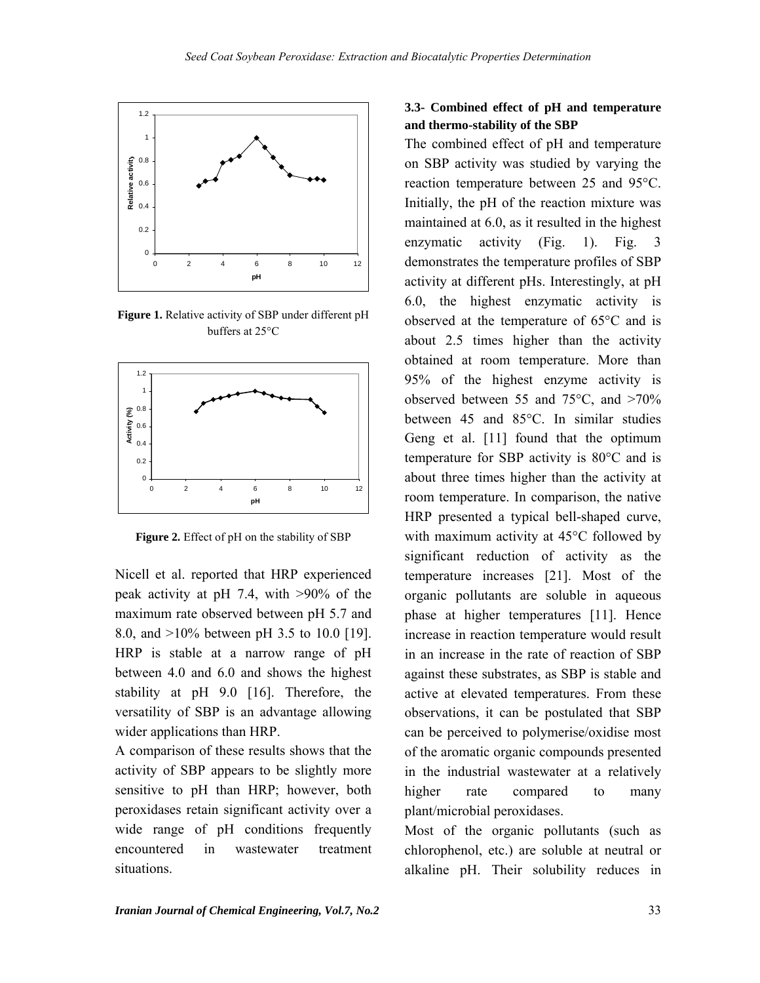

**Figure 1.** Relative activity of SBP under different pH buffers at 25°C



**Figure 2.** Effect of pH on the stability of SBP

Nicell et al. reported that HRP experienced peak activity at pH 7.4, with >90% of the maximum rate observed between pH 5.7 and 8.0, and >10% between pH 3.5 to 10.0 [19]. HRP is stable at a narrow range of pH between 4.0 and 6.0 and shows the highest stability at pH 9.0 [16]. Therefore, the versatility of SBP is an advantage allowing wider applications than HRP.

A comparison of these results shows that the activity of SBP appears to be slightly more sensitive to pH than HRP; however, both peroxidases retain significant activity over a wide range of pH conditions frequently encountered in wastewater treatment situations.

## **3.3- Combined effect of pH and temperature and thermo-stability of the SBP**

The combined effect of pH and temperature on SBP activity was studied by varying the reaction temperature between 25 and 95°C. Initially, the pH of the reaction mixture was maintained at 6.0, as it resulted in the highest enzymatic activity (Fig. 1). Fig. 3 demonstrates the temperature profiles of SBP activity at different pHs. Interestingly, at pH 6.0, the highest enzymatic activity is observed at the temperature of 65°C and is about 2.5 times higher than the activity obtained at room temperature. More than 95% of the highest enzyme activity is observed between 55 and 75°C, and >70% between 45 and 85°C. In similar studies Geng et al. [11] found that the optimum temperature for SBP activity is 80°C and is about three times higher than the activity at room temperature. In comparison, the native HRP presented a typical bell-shaped curve, with maximum activity at 45°C followed by significant reduction of activity as the temperature increases [21]. Most of the organic pollutants are soluble in aqueous phase at higher temperatures [11]. Hence increase in reaction temperature would result in an increase in the rate of reaction of SBP against these substrates, as SBP is stable and active at elevated temperatures. From these observations, it can be postulated that SBP can be perceived to polymerise/oxidise most of the aromatic organic compounds presented in the industrial wastewater at a relatively higher rate compared to many plant/microbial peroxidases.

Most of the organic pollutants (such as chlorophenol, etc.) are soluble at neutral or alkaline pH. Their solubility reduces in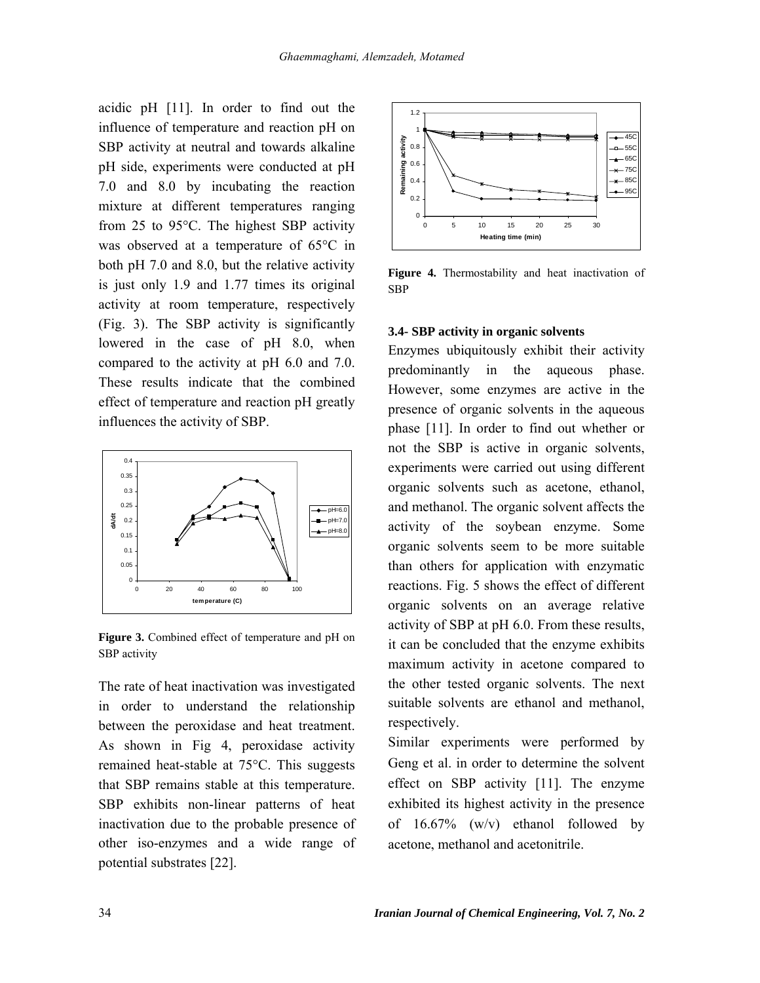acidic pH [11]. In order to find out the influence of temperature and reaction pH on SBP activity at neutral and towards alkaline pH side, experiments were conducted at pH 7.0 and 8.0 by incubating the reaction mixture at different temperatures ranging from 25 to 95°C. The highest SBP activity was observed at a temperature of 65°C in both pH 7.0 and 8.0, but the relative activity is just only 1.9 and 1.77 times its original activity at room temperature, respectively (Fig. 3). The SBP activity is significantly lowered in the case of pH 8.0, when compared to the activity at pH 6.0 and 7.0. These results indicate that the combined effect of temperature and reaction pH greatly influences the activity of SBP.



**Figure 3.** Combined effect of temperature and pH on SBP activity

The rate of heat inactivation was investigated in order to understand the relationship between the peroxidase and heat treatment. As shown in Fig 4, peroxidase activity remained heat-stable at 75°C. This suggests that SBP remains stable at this temperature. SBP exhibits non-linear patterns of heat inactivation due to the probable presence of other iso-enzymes and a wide range of potential substrates [22].



**Figure 4.** Thermostability and heat inactivation of SBP

#### **3.4- SBP activity in organic solvents**

Enzymes ubiquitously exhibit their activity predominantly in the aqueous phase. However, some enzymes are active in the presence of organic solvents in the aqueous phase [11]. In order to find out whether or not the SBP is active in organic solvents, experiments were carried out using different organic solvents such as acetone, ethanol, and methanol. The organic solvent affects the activity of the soybean enzyme. Some organic solvents seem to be more suitable than others for application with enzymatic reactions. Fig. 5 shows the effect of different organic solvents on an average relative activity of SBP at pH 6.0. From these results, it can be concluded that the enzyme exhibits maximum activity in acetone compared to the other tested organic solvents. The next suitable solvents are ethanol and methanol, respectively.

Similar experiments were performed by Geng et al. in order to determine the solvent effect on SBP activity [11]. The enzyme exhibited its highest activity in the presence of 16.67% (w/v) ethanol followed by acetone, methanol and acetonitrile.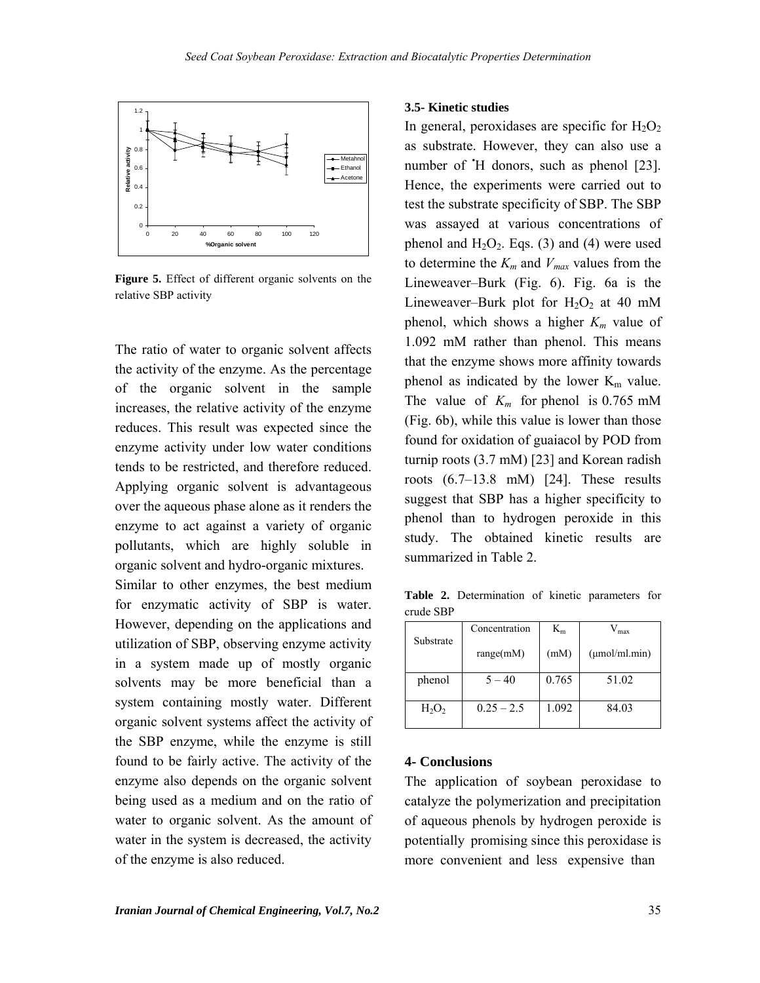

**Figure 5.** Effect of different organic solvents on the relative SBP activity

The ratio of water to organic solvent affects the activity of the enzyme. As the percentage of the organic solvent in the sample increases, the relative activity of the enzyme reduces. This result was expected since the enzyme activity under low water conditions tends to be restricted, and therefore reduced. Applying organic solvent is advantageous over the aqueous phase alone as it renders the enzyme to act against a variety of organic pollutants, which are highly soluble in organic solvent and hydro-organic mixtures.

Similar to other enzymes, the best medium for enzymatic activity of SBP is water. However, depending on the applications and utilization of SBP, observing enzyme activity in a system made up of mostly organic solvents may be more beneficial than a system containing mostly water. Different organic solvent systems affect the activity of the SBP enzyme, while the enzyme is still found to be fairly active. The activity of the enzyme also depends on the organic solvent being used as a medium and on the ratio of water to organic solvent. As the amount of water in the system is decreased, the activity of the enzyme is also reduced.

#### **3.5- Kinetic studies**

In general, peroxidases are specific for  $H_2O_2$ as substrate. However, they can also use a number of  $H$  donors, such as phenol [23]. Hence, the experiments were carried out to test the substrate specificity of SBP. The SBP was assayed at various concentrations of phenol and  $H_2O_2$ . Eqs. (3) and (4) were used to determine the  $K_m$  and  $V_{max}$  values from the Lineweaver–Burk (Fig. 6). Fig. 6a is the Lineweaver–Burk plot for  $H_2O_2$  at 40 mM phenol, which shows a higher  $K_m$  value of 1.092 mM rather than phenol. This means that the enzyme shows more affinity towards phenol as indicated by the lower  $K_m$  value. The value of *Km* for phenol is 0.765 mM (Fig. 6b), while this value is lower than those found for oxidation of guaiacol by POD from turnip roots (3.7 mM) [23] and Korean radish roots (6.7–13.8 mM) [24]. These results suggest that SBP has a higher specificity to phenol than to hydrogen peroxide in this study. The obtained kinetic results are summarized in Table 2.

**Table 2.** Determination of kinetic parameters for crude SBP

|           | Concentration | $K_{m}$ | $V_{\rm max}$      |
|-----------|---------------|---------|--------------------|
| Substrate | range(mM)     | (mM)    | $(\mu$ mol/ml.min) |
| phenol    | $5 - 40$      | 0.765   | 51.02              |
| $H_2O_2$  | $0.25 - 2.5$  | 1.092   | 84.03              |

#### **4- Conclusions**

The application of soybean peroxidase to catalyze the polymerization and precipitation of aqueous phenols by hydrogen peroxide is potentially promising since this peroxidase is more convenient and less expensive than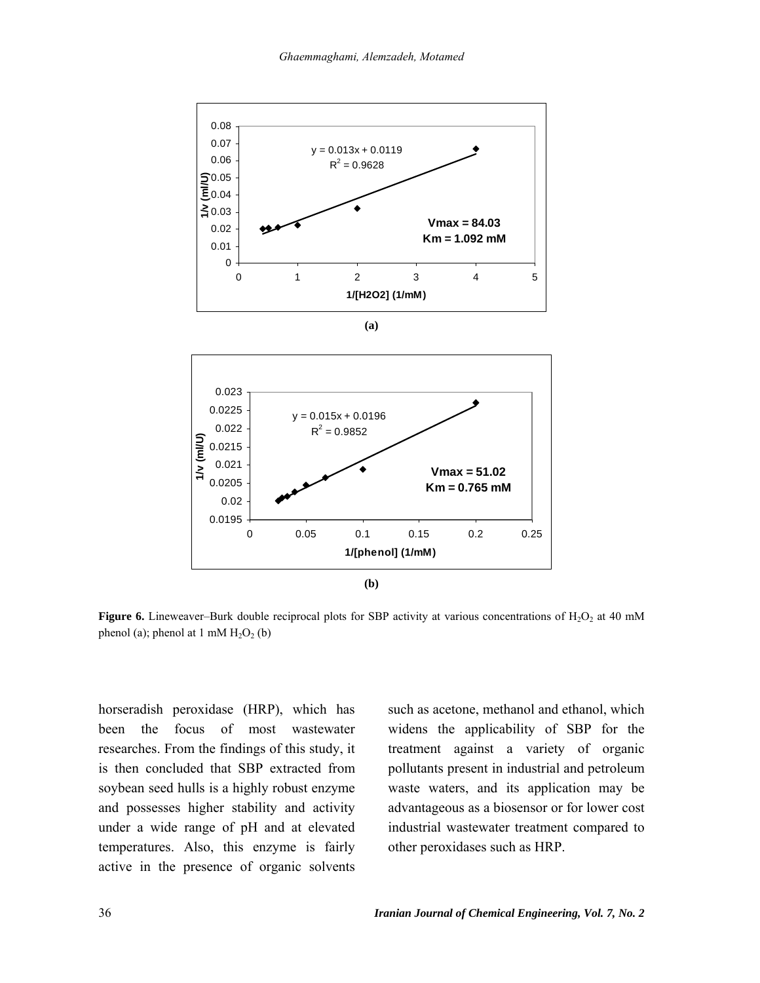



**Figure 6.** Lineweaver–Burk double reciprocal plots for SBP activity at various concentrations of  $H_2O_2$  at 40 mM phenol (a); phenol at 1 mM  $H<sub>2</sub>O<sub>2</sub>$  (b)

horseradish peroxidase (HRP), which has been the focus of most wastewater researches. From the findings of this study, it is then concluded that SBP extracted from soybean seed hulls is a highly robust enzyme and possesses higher stability and activity under a wide range of pH and at elevated temperatures. Also, this enzyme is fairly active in the presence of organic solvents such as acetone, methanol and ethanol, which widens the applicability of SBP for the treatment against a variety of organic pollutants present in industrial and petroleum waste waters, and its application may be advantageous as a biosensor or for lower cost industrial wastewater treatment compared to other peroxidases such as HRP.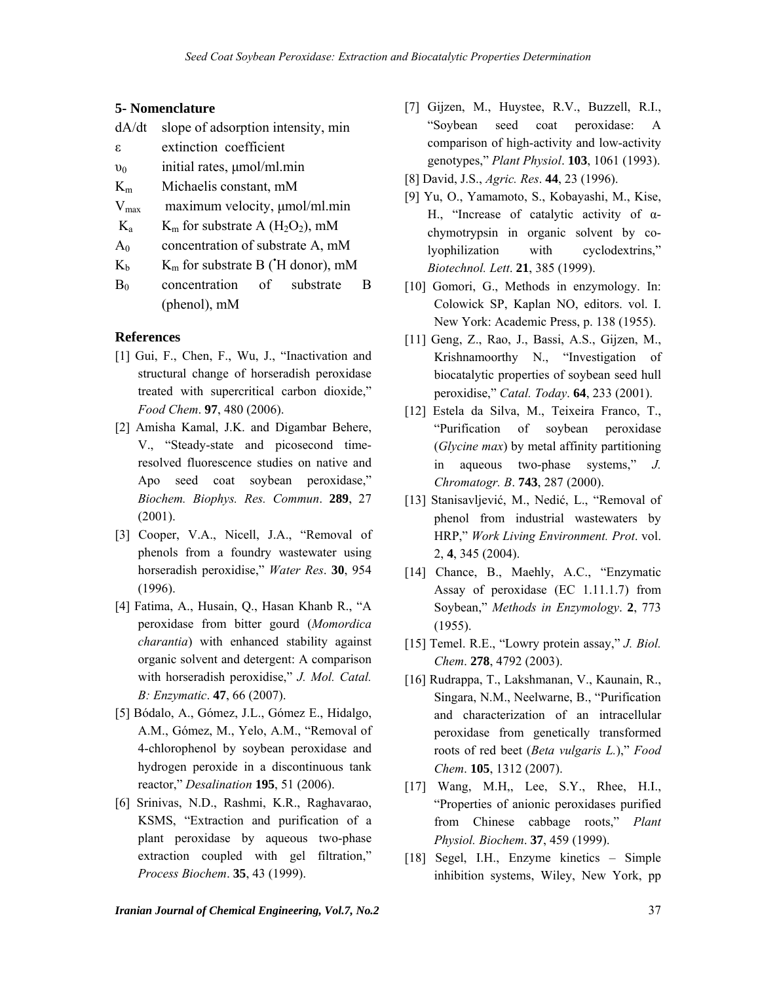### **5- Nomenclature**

| dA/dt     | slope of adsorption intensity, min                         |
|-----------|------------------------------------------------------------|
| ε         | extinction coefficient                                     |
| $v_0$     | initial rates, $\mu$ mol/ml.min                            |
| $K_{m}$   | Michaelis constant, mM                                     |
| $V_{max}$ | maximum velocity, µmol/ml.min                              |
| $K_{a}$   | $K_m$ for substrate A (H <sub>2</sub> O <sub>2</sub> ), mM |
| $A_0$     | concentration of substrate A, mM                           |
| $\rm K_b$ | $K_m$ for substrate B ( $H$ donor), mM                     |
| $B_0$     | concentration of substrate<br>В                            |
|           | (phenol), mM                                               |

### **References**

- [1] Gui, F., Chen, F., Wu, J., "Inactivation and structural change of horseradish peroxidase treated with supercritical carbon dioxide," *Food Chem*. **97**, 480 (2006).
- [2] Amisha Kamal, J.K. and Digambar Behere, V., "Steady-state and picosecond timeresolved fluorescence studies on native and Apo seed coat soybean peroxidase," *Biochem. Biophys. Res. Commun*. **289**, 27 (2001).
- [3] Cooper, V.A., Nicell, J.A., "Removal of phenols from a foundry wastewater using horseradish peroxidise," *Water Res*. **30**, 954 (1996).
- [4] Fatima, A., Husain, Q., Hasan Khanb R., "A peroxidase from bitter gourd (*Momordica charantia*) with enhanced stability against organic solvent and detergent: A comparison with horseradish peroxidise," *J. Mol. Catal. B: Enzymatic*. **47**, 66 (2007).
- [5] Bódalo, A., Gómez, J.L., Gómez E., Hidalgo, A.M., Gómez, M., Yelo, A.M., "Removal of 4-chlorophenol by soybean peroxidase and hydrogen peroxide in a discontinuous tank reactor," *Desalination* **195**, 51 (2006).
- [6] Srinivas, N.D., Rashmi, K.R., Raghavarao, KSMS, "Extraction and purification of a plant peroxidase by aqueous two-phase extraction coupled with gel filtration," *Process Biochem*. **35**, 43 (1999).
- [7] Gijzen, M., Huystee, R.V., Buzzell, R.I., "Soybean seed coat peroxidase: A comparison of high-activity and low-activity genotypes," *Plant Physiol*. **103**, 1061 (1993).
- [8] David, J.S., *Agric. Res*. **44**, 23 (1996).
- [9] Yu, O., Yamamoto, S., Kobayashi, M., Kise, H., "Increase of catalytic activity of αchymotrypsin in organic solvent by colyophilization with cyclodextrins," *Biotechnol. Lett*. **21**, 385 (1999).
- [10] Gomori, G., Methods in enzymology. In: Colowick SP, Kaplan NO, editors. vol. I. New York: Academic Press, p. 138 (1955).
- [11] Geng, Z., Rao, J., Bassi, A.S., Gijzen, M., Krishnamoorthy N., "Investigation of biocatalytic properties of soybean seed hull peroxidise," *Catal. Today*. **64**, 233 (2001).
- [12] Estela da Silva, M., Teixeira Franco, T., "Purification of soybean peroxidase (*Glycine max*) by metal affinity partitioning in aqueous two-phase systems," *J. Chromatogr. B*. **743**, 287 (2000).
- [13] Stanisavljević, M., Nedić, L., "Removal of phenol from industrial wastewaters by HRP," *Work Living Environment. Prot*. vol. 2, **4**, 345 (2004).
- [14] Chance, B., Maehly, A.C., "Enzymatic Assay of peroxidase (EC 1.11.1.7) from Soybean," *Methods in Enzymology*. **2**, 773 (1955).
- [15] Temel. R.E., "Lowry protein assay," *J. Biol. Chem*. **278**, 4792 (2003).
- [16] Rudrappa, T., Lakshmanan, V., Kaunain, R., Singara, N.M., Neelwarne, B., "Purification and characterization of an intracellular peroxidase from genetically transformed roots of red beet (*Beta vulgaris L.*)," *Food Chem*. **105**, 1312 (2007).
- [17] Wang, M.H., Lee, S.Y., Rhee, H.I., "Properties of anionic peroxidases purified from Chinese cabbage roots," *Plant Physiol. Biochem*. **37**, 459 (1999).
- [18] Segel, I.H., Enzyme kinetics Simple inhibition systems, Wiley, New York, pp